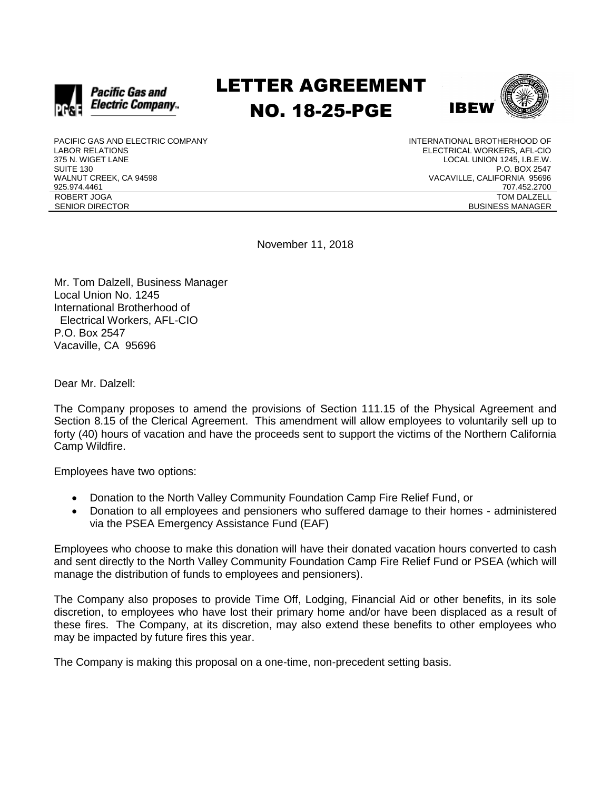

## LETTER AGREEMENT NO. 18-25-PGE



PACIFIC GAS AND ELECTRIC COMPANY LABOR RELATIONS 375 N. WIGET LANE SUITE 130 WALNUT CREEK, CA 94598 925.974.4461 ROBERT JOGA SENIOR DIRECTOR

INTERNATIONAL BROTHERHOOD OF ELECTRICAL WORKERS, AFL-CIO LOCAL UNION 1245, I.B.E.W. P.O. BOX 2547 VACAVILLE, CALIFORNIA 95696 707.452.2700 TOM DALZELL BUSINESS MANAGER

November 11, 2018

Mr. Tom Dalzell, Business Manager Local Union No. 1245 International Brotherhood of Electrical Workers, AFL-CIO P.O. Box 2547 Vacaville, CA 95696

Dear Mr. Dalzell:

The Company proposes to amend the provisions of Section 111.15 of the Physical Agreement and Section 8.15 of the Clerical Agreement. This amendment will allow employees to voluntarily sell up to forty (40) hours of vacation and have the proceeds sent to support the victims of the Northern California Camp Wildfire.

Employees have two options:

- Donation to the North Valley Community Foundation Camp Fire Relief Fund, or
- Donation to all employees and pensioners who suffered damage to their homes administered via the PSEA Emergency Assistance Fund (EAF)

Employees who choose to make this donation will have their donated vacation hours converted to cash and sent directly to the North Valley Community Foundation Camp Fire Relief Fund or PSEA (which will manage the distribution of funds to employees and pensioners).

The Company also proposes to provide Time Off, Lodging, Financial Aid or other benefits, in its sole discretion, to employees who have lost their primary home and/or have been displaced as a result of these fires. The Company, at its discretion, may also extend these benefits to other employees who may be impacted by future fires this year.

The Company is making this proposal on a one-time, non-precedent setting basis.